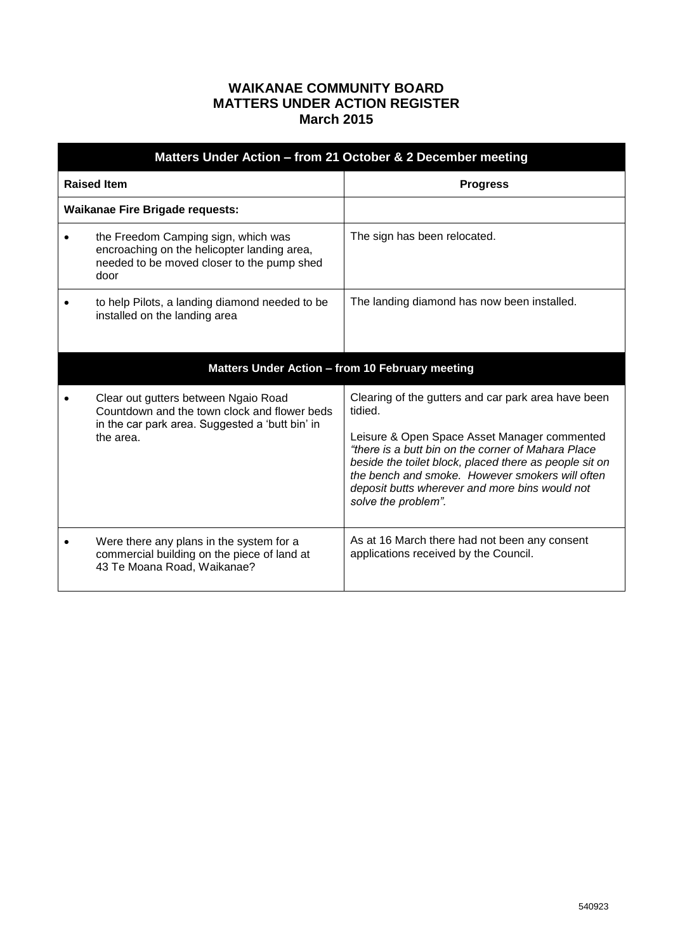## **WAIKANAE COMMUNITY BOARD MATTERS UNDER ACTION REGISTER March 2015**

| Matters Under Action - from 21 October & 2 December meeting |                                                                                                                                                      |                                                                                                                                                                                                                                                                                                                                                            |  |  |
|-------------------------------------------------------------|------------------------------------------------------------------------------------------------------------------------------------------------------|------------------------------------------------------------------------------------------------------------------------------------------------------------------------------------------------------------------------------------------------------------------------------------------------------------------------------------------------------------|--|--|
| <b>Raised Item</b>                                          |                                                                                                                                                      | <b>Progress</b>                                                                                                                                                                                                                                                                                                                                            |  |  |
|                                                             | <b>Waikanae Fire Brigade requests:</b>                                                                                                               |                                                                                                                                                                                                                                                                                                                                                            |  |  |
| $\bullet$                                                   | the Freedom Camping sign, which was<br>encroaching on the helicopter landing area,<br>needed to be moved closer to the pump shed<br>door             | The sign has been relocated.                                                                                                                                                                                                                                                                                                                               |  |  |
|                                                             | to help Pilots, a landing diamond needed to be<br>installed on the landing area                                                                      | The landing diamond has now been installed.                                                                                                                                                                                                                                                                                                                |  |  |
| Matters Under Action - from 10 February meeting             |                                                                                                                                                      |                                                                                                                                                                                                                                                                                                                                                            |  |  |
|                                                             | Clear out gutters between Ngaio Road<br>Countdown and the town clock and flower beds<br>in the car park area. Suggested a 'butt bin' in<br>the area. | Clearing of the gutters and car park area have been<br>tidied.<br>Leisure & Open Space Asset Manager commented<br>"there is a butt bin on the corner of Mahara Place<br>beside the toilet block, placed there as people sit on<br>the bench and smoke. However smokers will often<br>deposit butts wherever and more bins would not<br>solve the problem". |  |  |
|                                                             | Were there any plans in the system for a<br>commercial building on the piece of land at<br>43 Te Moana Road, Waikanae?                               | As at 16 March there had not been any consent<br>applications received by the Council.                                                                                                                                                                                                                                                                     |  |  |